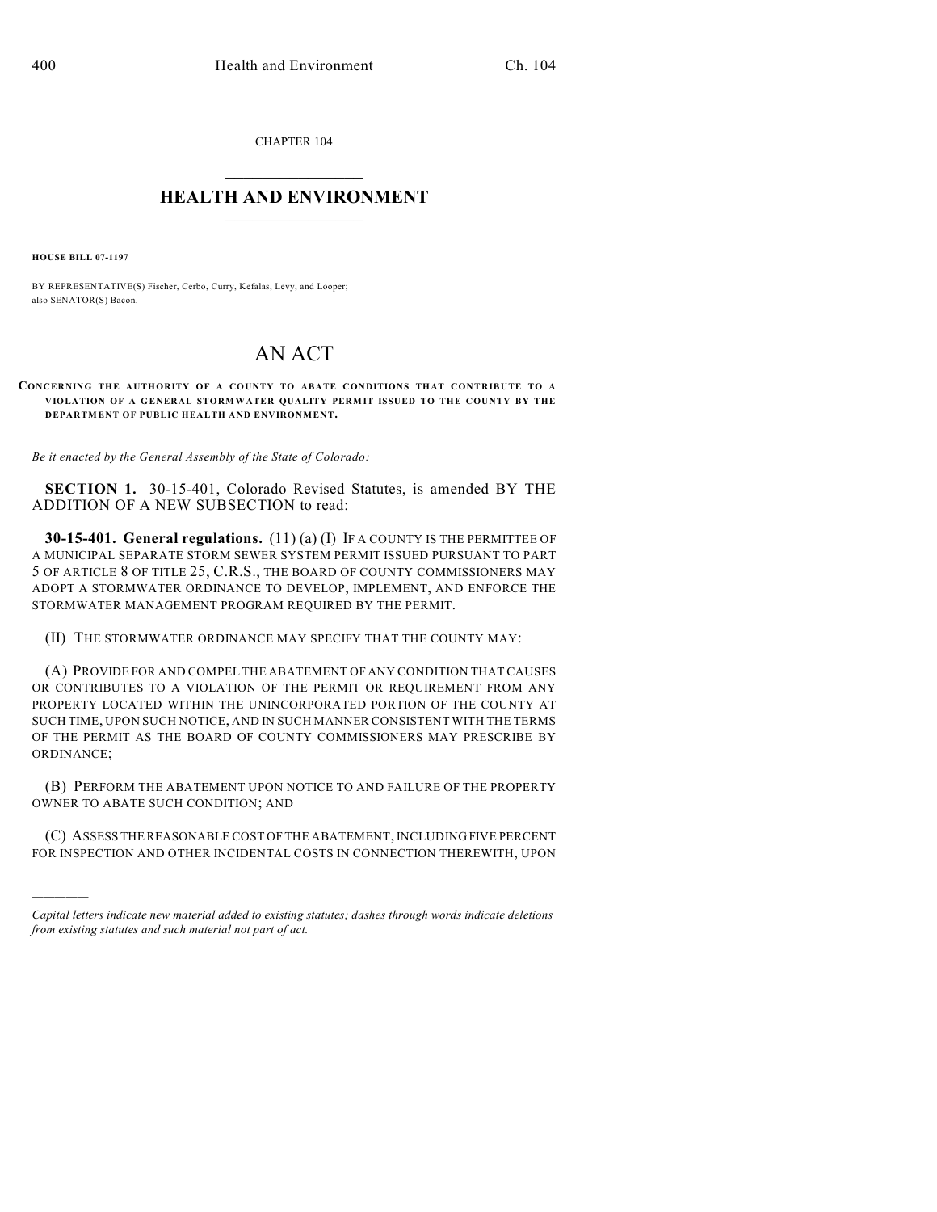CHAPTER 104

## $\overline{\phantom{a}}$  . The set of the set of the set of the set of the set of the set of the set of the set of the set of the set of the set of the set of the set of the set of the set of the set of the set of the set of the set o **HEALTH AND ENVIRONMENT**  $\_$

**HOUSE BILL 07-1197**

)))))

BY REPRESENTATIVE(S) Fischer, Cerbo, Curry, Kefalas, Levy, and Looper; also SENATOR(S) Bacon.

## AN ACT

## **CONCERNING THE AUTHORITY OF A COUNTY TO ABATE CONDITIONS THAT CONTRIBUTE TO A VIOLATION OF A GENERAL STORMWATER QUALITY PERMIT ISSUED TO THE COUNTY BY THE DEPARTMENT OF PUBLIC HEALTH AND ENVIRONMENT.**

*Be it enacted by the General Assembly of the State of Colorado:*

**SECTION 1.** 30-15-401, Colorado Revised Statutes, is amended BY THE ADDITION OF A NEW SUBSECTION to read:

**30-15-401. General regulations.** (11) (a) (I) IF A COUNTY IS THE PERMITTEE OF A MUNICIPAL SEPARATE STORM SEWER SYSTEM PERMIT ISSUED PURSUANT TO PART 5 OF ARTICLE 8 OF TITLE 25, C.R.S., THE BOARD OF COUNTY COMMISSIONERS MAY ADOPT A STORMWATER ORDINANCE TO DEVELOP, IMPLEMENT, AND ENFORCE THE STORMWATER MANAGEMENT PROGRAM REQUIRED BY THE PERMIT.

(II) THE STORMWATER ORDINANCE MAY SPECIFY THAT THE COUNTY MAY:

(A) PROVIDE FOR AND COMPEL THE ABATEMENT OF ANY CONDITION THAT CAUSES OR CONTRIBUTES TO A VIOLATION OF THE PERMIT OR REQUIREMENT FROM ANY PROPERTY LOCATED WITHIN THE UNINCORPORATED PORTION OF THE COUNTY AT SUCH TIME, UPON SUCH NOTICE, AND IN SUCH MANNER CONSISTENT WITH THE TERMS OF THE PERMIT AS THE BOARD OF COUNTY COMMISSIONERS MAY PRESCRIBE BY ORDINANCE;

(B) PERFORM THE ABATEMENT UPON NOTICE TO AND FAILURE OF THE PROPERTY OWNER TO ABATE SUCH CONDITION; AND

(C) ASSESS THE REASONABLE COST OF THE ABATEMENT, INCLUDING FIVE PERCENT FOR INSPECTION AND OTHER INCIDENTAL COSTS IN CONNECTION THEREWITH, UPON

*Capital letters indicate new material added to existing statutes; dashes through words indicate deletions from existing statutes and such material not part of act.*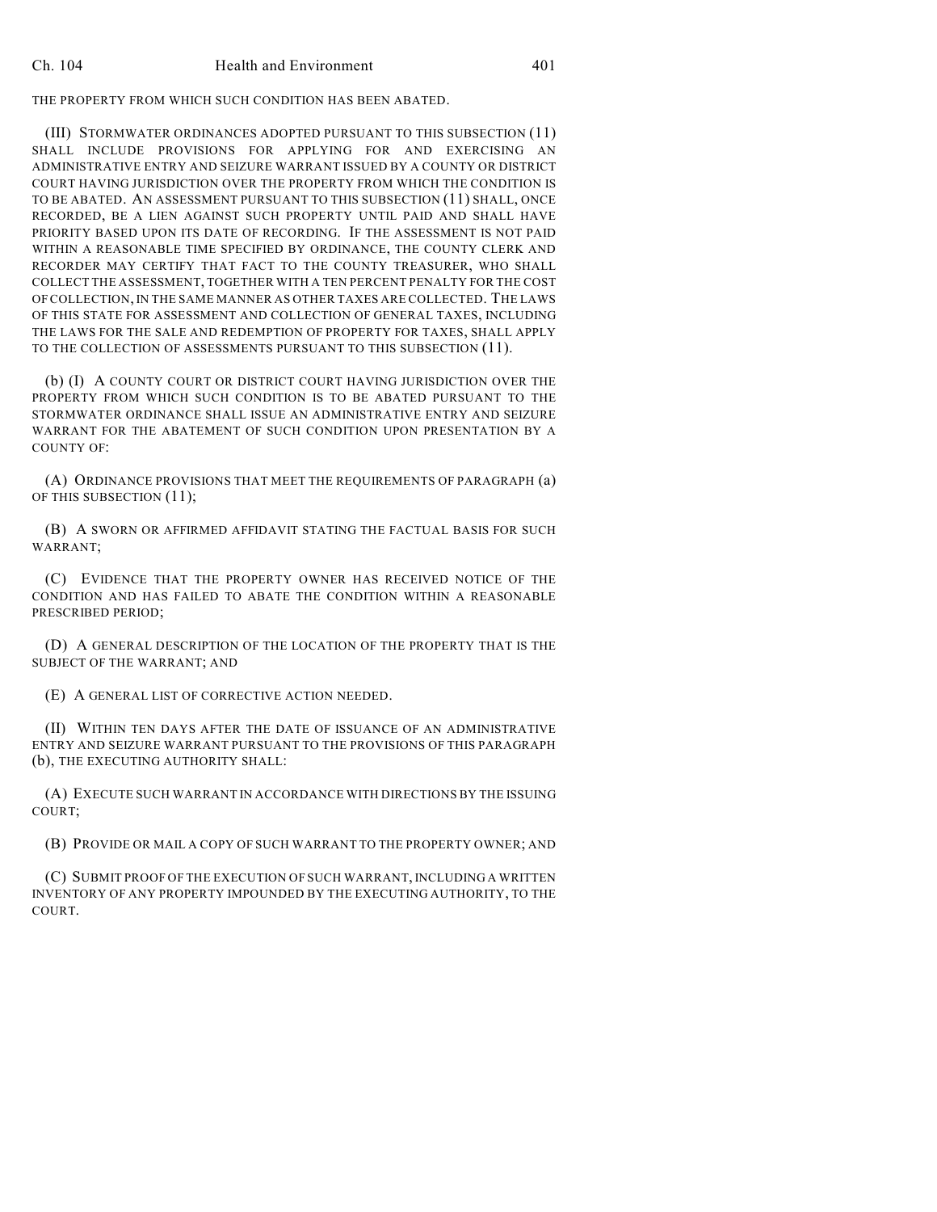THE PROPERTY FROM WHICH SUCH CONDITION HAS BEEN ABATED.

(III) STORMWATER ORDINANCES ADOPTED PURSUANT TO THIS SUBSECTION (11) SHALL INCLUDE PROVISIONS FOR APPLYING FOR AND EXERCISING AN ADMINISTRATIVE ENTRY AND SEIZURE WARRANT ISSUED BY A COUNTY OR DISTRICT COURT HAVING JURISDICTION OVER THE PROPERTY FROM WHICH THE CONDITION IS TO BE ABATED. AN ASSESSMENT PURSUANT TO THIS SUBSECTION (11) SHALL, ONCE RECORDED, BE A LIEN AGAINST SUCH PROPERTY UNTIL PAID AND SHALL HAVE PRIORITY BASED UPON ITS DATE OF RECORDING. IF THE ASSESSMENT IS NOT PAID WITHIN A REASONABLE TIME SPECIFIED BY ORDINANCE, THE COUNTY CLERK AND RECORDER MAY CERTIFY THAT FACT TO THE COUNTY TREASURER, WHO SHALL COLLECT THE ASSESSMENT, TOGETHER WITH A TEN PERCENT PENALTY FOR THE COST OF COLLECTION, IN THE SAME MANNER AS OTHER TAXES ARE COLLECTED. THE LAWS OF THIS STATE FOR ASSESSMENT AND COLLECTION OF GENERAL TAXES, INCLUDING THE LAWS FOR THE SALE AND REDEMPTION OF PROPERTY FOR TAXES, SHALL APPLY TO THE COLLECTION OF ASSESSMENTS PURSUANT TO THIS SUBSECTION (11).

(b) (I) A COUNTY COURT OR DISTRICT COURT HAVING JURISDICTION OVER THE PROPERTY FROM WHICH SUCH CONDITION IS TO BE ABATED PURSUANT TO THE STORMWATER ORDINANCE SHALL ISSUE AN ADMINISTRATIVE ENTRY AND SEIZURE WARRANT FOR THE ABATEMENT OF SUCH CONDITION UPON PRESENTATION BY A COUNTY OF:

(A) ORDINANCE PROVISIONS THAT MEET THE REQUIREMENTS OF PARAGRAPH (a) OF THIS SUBSECTION (11);

(B) A SWORN OR AFFIRMED AFFIDAVIT STATING THE FACTUAL BASIS FOR SUCH WARRANT;

(C) EVIDENCE THAT THE PROPERTY OWNER HAS RECEIVED NOTICE OF THE CONDITION AND HAS FAILED TO ABATE THE CONDITION WITHIN A REASONABLE PRESCRIBED PERIOD;

(D) A GENERAL DESCRIPTION OF THE LOCATION OF THE PROPERTY THAT IS THE SUBJECT OF THE WARRANT; AND

(E) A GENERAL LIST OF CORRECTIVE ACTION NEEDED.

(II) WITHIN TEN DAYS AFTER THE DATE OF ISSUANCE OF AN ADMINISTRATIVE ENTRY AND SEIZURE WARRANT PURSUANT TO THE PROVISIONS OF THIS PARAGRAPH (b), THE EXECUTING AUTHORITY SHALL:

(A) EXECUTE SUCH WARRANT IN ACCORDANCE WITH DIRECTIONS BY THE ISSUING COURT;

(B) PROVIDE OR MAIL A COPY OF SUCH WARRANT TO THE PROPERTY OWNER; AND

(C) SUBMIT PROOF OF THE EXECUTION OF SUCH WARRANT, INCLUDING A WRITTEN INVENTORY OF ANY PROPERTY IMPOUNDED BY THE EXECUTING AUTHORITY, TO THE COURT.